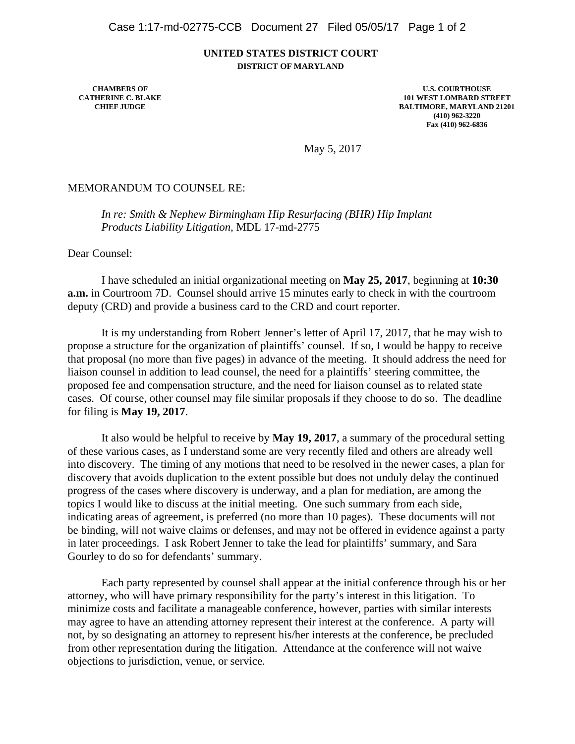## **UNITED STATES DISTRICT COURT DISTRICT OF MARYLAND**

**CHAMBERS OF CATHERINE C. BLAKE CHIEF JUDGE**

**U.S. COURTHOUSE 101 WEST LOMBARD STREET BALTIMORE, MARYLAND 21201 (410) 962-3220 Fax (410) 962-6836**

May 5, 2017

MEMORANDUM TO COUNSEL RE:

*In re: Smith & Nephew Birmingham Hip Resurfacing (BHR) Hip Implant Products Liability Litigation,* MDL 17-md-2775

Dear Counsel:

 I have scheduled an initial organizational meeting on **May 25, 2017**, beginning at **10:30 a.m.** in Courtroom 7D. Counsel should arrive 15 minutes early to check in with the courtroom deputy (CRD) and provide a business card to the CRD and court reporter.

It is my understanding from Robert Jenner's letter of April 17, 2017, that he may wish to propose a structure for the organization of plaintiffs' counsel. If so, I would be happy to receive that proposal (no more than five pages) in advance of the meeting. It should address the need for liaison counsel in addition to lead counsel, the need for a plaintiffs' steering committee, the proposed fee and compensation structure, and the need for liaison counsel as to related state cases. Of course, other counsel may file similar proposals if they choose to do so. The deadline for filing is **May 19, 2017**.

 It also would be helpful to receive by **May 19, 2017**, a summary of the procedural setting of these various cases, as I understand some are very recently filed and others are already well into discovery. The timing of any motions that need to be resolved in the newer cases, a plan for discovery that avoids duplication to the extent possible but does not unduly delay the continued progress of the cases where discovery is underway, and a plan for mediation, are among the topics I would like to discuss at the initial meeting. One such summary from each side, indicating areas of agreement, is preferred (no more than 10 pages). These documents will not be binding, will not waive claims or defenses, and may not be offered in evidence against a party in later proceedings. I ask Robert Jenner to take the lead for plaintiffs' summary, and Sara Gourley to do so for defendants' summary.

 Each party represented by counsel shall appear at the initial conference through his or her attorney, who will have primary responsibility for the party's interest in this litigation. To minimize costs and facilitate a manageable conference, however, parties with similar interests may agree to have an attending attorney represent their interest at the conference. A party will not, by so designating an attorney to represent his/her interests at the conference, be precluded from other representation during the litigation. Attendance at the conference will not waive objections to jurisdiction, venue, or service.